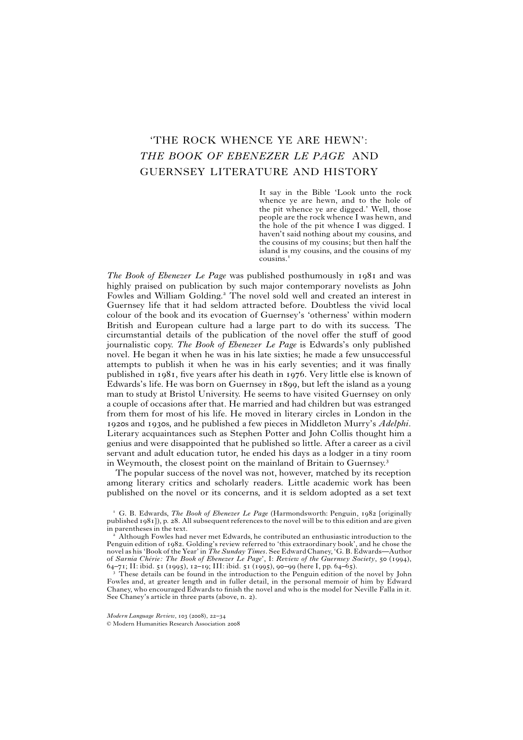# 'THE ROCK WHENCE YE ARE HEWN': *THE BOOK OF EBENEZER LE PAGE* AND GUERNSEY LITERATURE AND HISTORY

It say in the Bible 'Look unto the rock whence ye are hewn, and to the hole of the pit whence ye are digged.' Well, those people are the rock whence I was hewn, and the hole of the pit whence I was digged. I haven't said nothing about my cousins, and the cousins of my cousins; but then half the island is my cousins, and the cousins of my cousins.

*The Book of Ebenezer Le Page* was published posthumously in 1981 and was highly praised on publication by such major contemporary novelists as John Fowles and William Golding.<sup>2</sup> The novel sold well and created an interest in Guernsey life that it had seldom attracted before. Doubtless the vivid local colour of the book and its evocation of Guernsey's 'otherness' within modern British and European culture had a large part to do with its success. The circumstantial details of the publication of the novel offer the stuff of good journalistic copy. *The Book of Ebenezer Le Page* is Edwards's only published novel. He began it when he was in his late sixties; he made a few unsuccessful attempts to publish it when he was in his early seventies; and it was finally published in 1981, five years after his death in 1976. Very little else is known of Edwards's life. He was born on Guernsey in 1899, but left the island as a young man to study at Bristol University. He seems to have visited Guernsey on only a couple of occasions after that. He married and had children but was estranged from them for most of his life. He moved in literary circles in London in the 1920s and 1930s, and he published a few pieces in Middleton Murry's *Adelphi*. Literary acquaintances such as Stephen Potter and John Collis thought him a genius and were disappointed that he published so little. After a career as a civil servant and adult education tutor, he ended his days as a lodger in a tiny room in Weymouth, the closest point on the mainland of Britain to Guernsey.

The popular success of the novel was not, however, matched by its reception among literary critics and scholarly readers. Little academic work has been published on the novel or its concerns, and it is seldom adopted as a set text

<sup>3</sup> These details can be found in the introduction to the Penguin edition of the novel by John Fowles and, at greater length and in fuller detail, in the personal memoir of him by Edward Chaney, who encouraged Edwards to finish the novel and who is the model for Neville Falla in it. See Chaney's article in three parts (above, n. 2).

G. B. Edwards, *The Book of Ebenezer Le Page* (Harmondsworth: Penguin, 1982 [originally published 1981]), p. 28. All subsequent references to the novel will be to this edition and are given in parentheses in the text.

<sup>-</sup> Although Fowles had never met Edwards, he contributed an enthusiastic introduction to the Penguin edition of 1982. Golding's review referred to 'this extraordinary book', and he chose the novel as his 'Book of the Year' in *The Sunday Times*. See EdwardChaney,'G. B. Edwards—Author of Sarnia Chérie: The Book of Ebenezer Le Page', I: Review of the Guernsey Society, 50 (1994), 64–71; II: ibid. 51 (1995), 12–19; III: ibid. 51 (1995), 90–99 (here I, pp. 64–65).

ã Modern Humanities Research Association 2008 *Modern Language Review*, 103 (2008), 22–34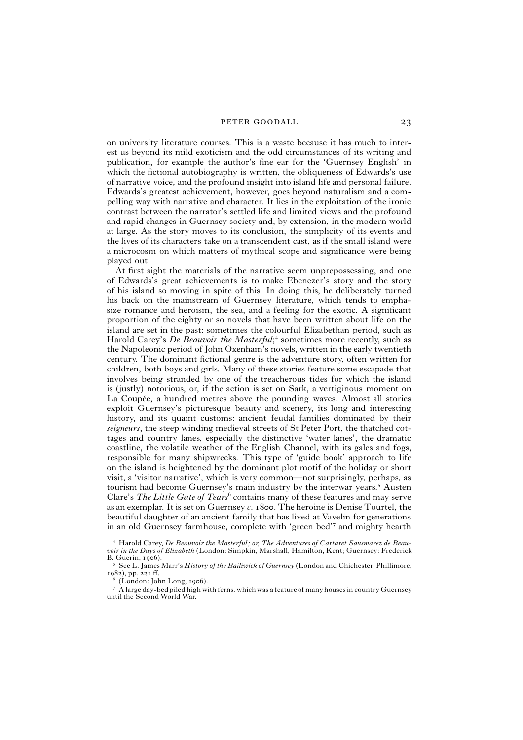on university literature courses. This is a waste because it has much to interest us beyond its mild exoticism and the odd circumstances of its writing and publication, for example the author's fine ear for the 'Guernsey English' in which the fictional autobiography is written, the obliqueness of Edwards's use of narrative voice, and the profound insight into island life and personal failure. Edwards's greatest achievement, however, goes beyond naturalism and a compelling way with narrative and character. It lies in the exploitation of the ironic contrast between the narrator's settled life and limited views and the profound and rapid changes in Guernsey society and, by extension, in the modern world at large. As the story moves to its conclusion, the simplicity of its events and the lives of its characters take on a transcendent cast, as if the small island were a microcosm on which matters of mythical scope and significance were being played out.

At first sight the materials of the narrative seem unprepossessing, and one of Edwards's great achievements is to make Ebenezer's story and the story of his island so moving in spite of this. In doing this, he deliberately turned his back on the mainstream of Guernsey literature, which tends to emphasize romance and heroism, the sea, and a feeling for the exotic. A significant proportion of the eighty or so novels that have been written about life on the island are set in the past: sometimes the colourful Elizabethan period, such as Harold Carey's *De Beauvoir the Masterful*;<sup>4</sup> sometimes more recently, such as the Napoleonic period of John Oxenham's novels, written in the early twentieth century. The dominant fictional genre is the adventure story, often written for children, both boys and girls. Many of these stories feature some escapade that involves being stranded by one of the treacherous tides for which the island is (justly) notorious, or, if the action is set on Sark, a vertiginous moment on La Coupée, a hundred metres above the pounding waves. Almost all stories exploit Guernsey's picturesque beauty and scenery, its long and interesting history, and its quaint customs: ancient feudal families dominated by their *seigneurs*, the steep winding medieval streets of St Peter Port, the thatched cottages and country lanes, especially the distinctive 'water lanes', the dramatic coastline, the volatile weather of the English Channel, with its gales and fogs, responsible for many shipwrecks. This type of 'guide book' approach to life on the island is heightened by the dominant plot motif of the holiday or short visit, a 'visitor narrative', which is very common—not surprisingly, perhaps, as tourism had become Guernsey's main industry by the interwar years.<sup>5</sup> Austen Clare's *The Little Gate of Tears*<sup>6</sup> contains many of these features and may serve as an exemplar. It is set on Guernsey *c*. 1800. The heroine is Denise Tourtel, the beautiful daughter of an ancient family that has lived at Vavelin for generations in an old Guernsey farmhouse, complete with 'green bed'<sup>7</sup> and mighty hearth

 Harold Carey, *De Beauvoir the Masterful; or, The Adventures of Cartaret Sausmarez de Beauvoir in the Days of Elizabeth* (London: Simpkin, Marshall, Hamilton, Kent; Guernsey: Frederick B. Guerin, 1906).

 See L. James Marr's *History of the Bailiwick of Guernsey* (London and Chichester: Phillimore,  $1982$ ), pp. 221 ff.

 $5$  (London: John Long, 1906).

 $^7\,$  A large day-bed piled high with ferns, which was a feature of many houses in country Guernsey until the Second World War.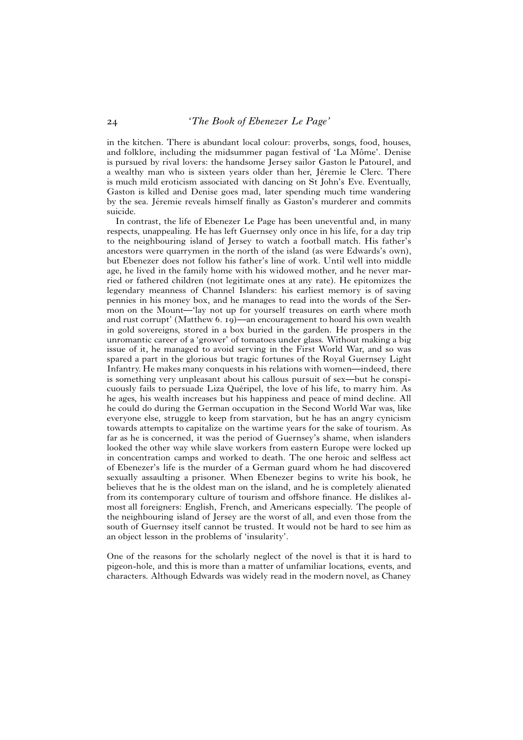in the kitchen. There is abundant local colour: proverbs, songs, food, houses, and folklore, including the midsummer pagan festival of 'La Môme'. Denise is pursued by rival lovers: the handsome Jersey sailor Gaston le Patourel, and a wealthy man who is sixteen years older than her, Jéremie le Clerc. There is much mild eroticism associated with dancing on St John's Eve. Eventually, Gaston is killed and Denise goes mad, later spending much time wandering by the sea. Jéremie reveals himself finally as Gaston's murderer and commits suicide.

In contrast, the life of Ebenezer Le Page has been uneventful and, in many respects, unappealing. He has left Guernsey only once in his life, for a day trip to the neighbouring island of Jersey to watch a football match. His father's ancestors were quarrymen in the north of the island (as were Edwards's own), but Ebenezer does not follow his father's line of work. Until well into middle age, he lived in the family home with his widowed mother, and he never married or fathered children (not legitimate ones at any rate). He epitomizes the legendary meanness of Channel Islanders: his earliest memory is of saving pennies in his money box, and he manages to read into the words of the Sermon on the Mount—'lay not up for yourself treasures on earth where moth and rust corrupt' (Matthew 6. 19)—an encouragement to hoard his own wealth in gold sovereigns, stored in a box buried in the garden. He prospers in the unromantic career of a 'grower' of tomatoes under glass. Without making a big issue of it, he managed to avoid serving in the First World War, and so was spared a part in the glorious but tragic fortunes of the Royal Guernsey Light Infantry. He makes many conquests in his relations with women—indeed, there is something very unpleasant about his callous pursuit of sex—but he conspicuously fails to persuade Liza Quéripel, the love of his life, to marry him. As he ages, his wealth increases but his happiness and peace of mind decline. All he could do during the German occupation in the Second World War was, like everyone else, struggle to keep from starvation, but he has an angry cynicism towards attempts to capitalize on the wartime years for the sake of tourism. As far as he is concerned, it was the period of Guernsey's shame, when islanders looked the other way while slave workers from eastern Europe were locked up in concentration camps and worked to death. The one heroic and selfless act of Ebenezer's life is the murder of a German guard whom he had discovered sexually assaulting a prisoner. When Ebenezer begins to write his book, he believes that he is the oldest man on the island, and he is completely alienated from its contemporary culture of tourism and offshore finance. He dislikes almost all foreigners: English, French, and Americans especially. The people of the neighbouring island of Jersey are the worst of all, and even those from the south of Guernsey itself cannot be trusted. It would not be hard to see him as an object lesson in the problems of 'insularity'.

One of the reasons for the scholarly neglect of the novel is that it is hard to pigeon-hole, and this is more than a matter of unfamiliar locations, events, and characters. Although Edwards was widely read in the modern novel, as Chaney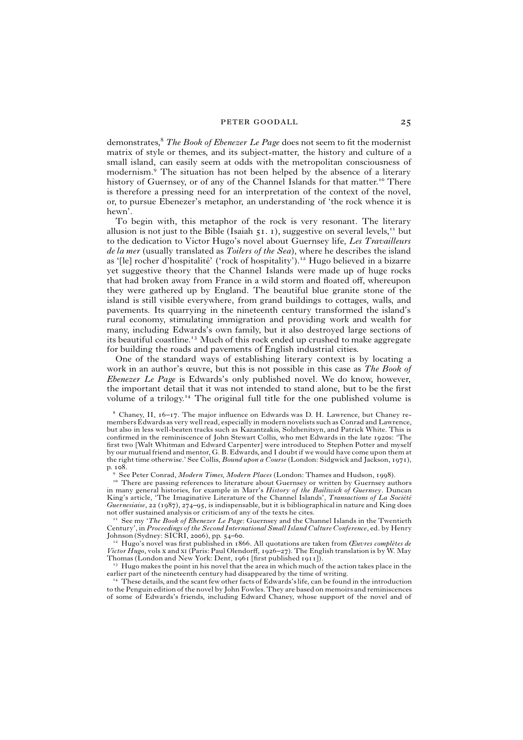demonstrates, *The Book of Ebenezer Le Page* does not seem to fit the modernist matrix of style or themes, and its subject-matter, the history and culture of a small island, can easily seem at odds with the metropolitan consciousness of modernism.<sup>9</sup> The situation has not been helped by the absence of a literary history of Guernsey, or of any of the Channel Islands for that matter.<sup>10</sup> There is therefore a pressing need for an interpretation of the context of the novel, or, to pursue Ebenezer's metaphor, an understanding of 'the rock whence it is hewn'.

To begin with, this metaphor of the rock is very resonant. The literary allusion is not just to the Bible (Isaiah  $51. 1$ ), suggestive on several levels,<sup>11</sup> but to the dedication to Victor Hugo's novel about Guernsey life, *Les Travailleurs de la mer* (usually translated as *Toilers of the Sea)*, where he describes the island as '[le] rocher d'hospitalité' ('rock of hospitality').<sup>12</sup> Hugo believed in a bizarre yet suggestive theory that the Channel Islands were made up of huge rocks that had broken away from France in a wild storm and floated off, whereupon they were gathered up by England. The beautiful blue granite stone of the island is still visible everywhere, from grand buildings to cottages, walls, and pavements. Its quarrying in the nineteenth century transformed the island's rural economy, stimulating immigration and providing work and wealth for many, including Edwards's own family, but it also destroyed large sections of its beautiful coastline.<sup>13</sup> Much of this rock ended up crushed to make aggregate for building the roads and pavements of English industrial cities.

One of the standard ways of establishing literary context is by locating a work in an author's œuvre, but this is not possible in this case as *The Book of Ebenezer Le Page* is Edwards's only published novel. We do know, however, the important detail that it was not intended to stand alone, but to be the first volume of a trilogy.<sup> $14$ </sup> The original full title for the one published volume is

 Chaney, II, 16–17. The major influence on Edwards was D. H. Lawrence, but Chaney remembers Edwards as very well read, especially in modern novelists such as Conrad and Lawrence, but also in less well-beaten tracks such as Kazantzakis, Solzhenitsyn, and Patrick White. This is confirmed in the reminiscence of John Stewart Collis, who met Edwards in the late 1920s: 'The first two [Walt Whitman and Edward Carpenter] were introduced to Stephen Potter and myself by our mutual friend and mentor, G. B. Edwards, and I doubt if we would have come upon them at the right time otherwise.' See Collis, *Bound upon a Course* (London: Sidgwick and Jackson, 1971), p. 108.

 See Peter Conrad, *Modern Times, Modern Places* (London: Thames and Hudson, 1998).

<sup>10</sup> There are passing references to literature about Guernsey or written by Guernsey authors in many general histories, for example in Marr's *History of the Bailiwick of Guernsey*. Duncan King's article, 'The Imaginative Literature of the Channel Islands', *Transactions of La Société Guernesiaise*, 22 (1987), 274–95, is indispensable, but it is bibliographicalin nature and King does not offer sustained analysis or criticism of any of the texts he cites.

 See my '*The Book of Ebenezer Le Page*: Guernsey and the Channel Islands in the Twentieth Century',in *Proceedings of the Second International Small Island Culture Conference*, ed. by Henry Johnson (Sydney: SICRI, 2006), pp. 54–60.

<sup>12</sup> Hugo's novel was first published in 1866. All quotations are taken from *Œuvres complètes de Victor Hugo*, vols x and x<sub>I</sub> (Paris: Paul Olendorff, 1926–27). The English translation is by W. May Thomas (London and New York: Dent, 1961 [first published 1911]).

 $<sup>13</sup>$  Hugo makes the point in his novel that the area in which much of the action takes place in the</sup> earlier part of the nineteenth century had disappeared by the time of writing.

 These details, and the scant few other facts of Edwards'slife, can be found in the introduction to the Penguin edition of the novel by John Fowles. They are based on memoirs and reminiscences of some of Edwards's friends, including Edward Chaney, whose support of the novel and of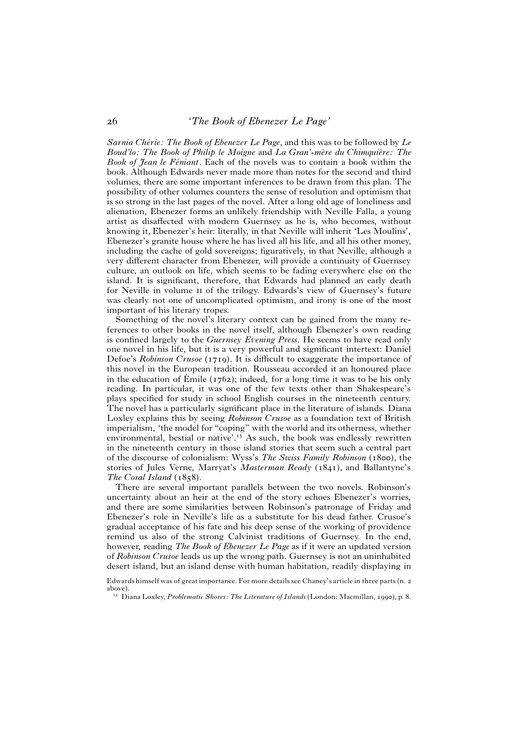## 26 *'The Book of Ebenezer Le Page'*

*Sarnia Chérie: The Book of Ebenezer Le Page*, and this was to be followed by Le *Boud'lo: The Book of Philip le Moigne* and *La Gran'-mère du Chimquière: The* Book of Jean le Féniant. Each of the novels was to contain a book within the book. Although Edwards never made more than notes for the second and third volumes, there are some important inferences to be drawn from this plan. The possibility of other volumes counters the sense of resolution and optimism that is so strong in the last pages of the novel. After a long old age of loneliness and alienation, Ebenezer forms an unlikely friendship with Neville Falla, a young artist as disaffected with modern Guernsey as he is, who becomes, without knowing it, Ebenezer's heir: literally, in that Neville will inherit 'Les Moulins', Ebenezer's granite house where he has lived all his life, and all his other money, including the cache of gold sovereigns; figuratively, in that Neville, although a very different character from Ebenezer, will provide a continuity of Guernsey culture, an outlook on life, which seems to be fading everywhere else on the island. It is significant, therefore, that Edwards had planned an early death for Neville in volume ii of the trilogy. Edwards's view of Guernsey's future was clearly not one of uncomplicated optimism, and irony is one of the most important of his literary tropes.

Something of the novel's literary context can be gained from the many references to other books in the novel itself, although Ebenezer's own reading is confined largely to the *Guernsey Evening Press*. He seems to have read only one novel in his life, but it is a very powerful and significant intertext: Daniel Defoe's *Robinson Crusoe* (1719). It is difficult to exaggerate the importance of this novel in the European tradition. Rousseau accorded it an honoured place in the education of Emile (1762); indeed, for a long time it was to be his only reading. In particular, it was one of the few texts other than Shakespeare's plays specified for study in school English courses in the nineteenth century. The novel has a particularly significant place in the literature of islands. Diana Loxley explains this by seeing *Robinson Crusoe* as a foundation text of British imperialism, 'the model for "coping" with the world and its otherness, whether environmental, bestial or native'.<sup>15</sup> As such, the book was endlessly rewritten in the nineteenth century in those island stories that seem such a central part of the discourse of colonialism: Wyss's *The Swiss Family Robinson* (1800), the stories of Jules Verne, Marryat's *Masterman Ready* (1841), and Ballantyne's *The Coral Island* (1858).

There are several important parallels between the two novels. Robinson's uncertainty about an heir at the end of the story echoes Ebenezer's worries, and there are some similarities between Robinson's patronage of Friday and Ebenezer's role in Neville's life as a substitute for his dead father. Crusoe's gradual acceptance of his fate and his deep sense of the working of providence remind us also of the strong Calvinist traditions of Guernsey. In the end, however, reading *The Book of Ebenezer Le Page* as if it were an updated version of *Robinson Crusoe* leads us up the wrong path. Guernsey is not an uninhabited desert island, but an island dense with human habitation, readily displaying in

Edwards himself was of great importance. For more details see Chaney's article in three parts (n. 2 above).

<sup>&</sup>lt;sup>15</sup> Diana Loxley, *Problematic Shores: The Literature of Islands* (London: Macmillan, 1990), p. 8.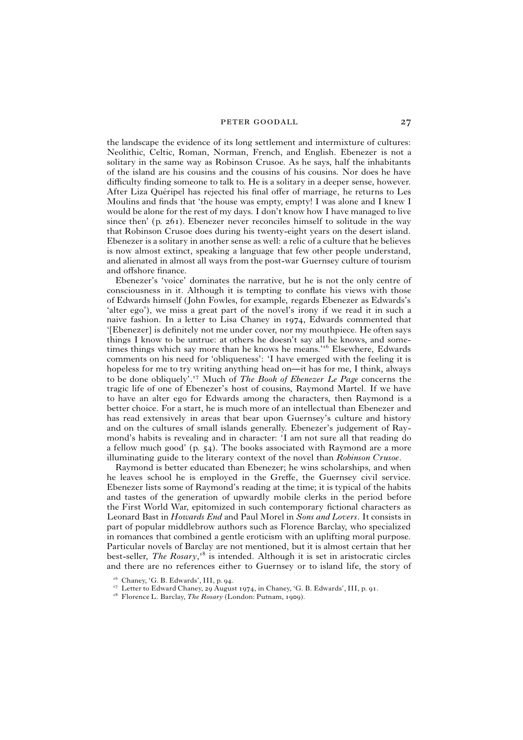the landscape the evidence of its long settlement and intermixture of cultures: Neolithic, Celtic, Roman, Norman, French, and English. Ebenezer is not a solitary in the same way as Robinson Crusoe. As he says, half the inhabitants of the island are his cousins and the cousins of his cousins. Nor does he have difficulty finding someone to talk to. He is a solitary in a deeper sense, however. After Liza Quéripel has rejected his final offer of marriage, he returns to Les Moulins and finds that 'the house was empty, empty! I was alone and I knew I would be alone for the rest of my days. I don't know how I have managed to live since then' (p. 261). Ebenezer never reconciles himself to solitude in the way that Robinson Crusoe does during his twenty-eight years on the desert island. Ebenezer is a solitary in another sense as well: a relic of a culture that he believes is now almost extinct, speaking a language that few other people understand, and alienated in almost all ways from the post-war Guernsey culture of tourism and offshore finance.

Ebenezer's 'voice' dominates the narrative, but he is not the only centre of consciousness in it. Although it is tempting to conflate his views with those of Edwards himself (John Fowles, for example, regards Ebenezer as Edwards's 'alter ego'), we miss a great part of the novel's irony if we read it in such a naive fashion. In a letter to Lisa Chaney in 1974, Edwards commented that '[Ebenezer] is definitely not me under cover, nor my mouthpiece. He often says things I know to be untrue: at others he doesn't say all he knows, and sometimes things which say more than he knows he means.<sup>'16</sup> Elsewhere, Edwards comments on his need for 'obliqueness': 'I have emerged with the feeling it is hopeless for me to try writing anything head on—it has for me, I think, always to be done obliquely'.<sup>17</sup> Much of *The Book of Ebenezer Le Page* concerns the tragic life of one of Ebenezer's host of cousins, Raymond Martel. If we have to have an alter ego for Edwards among the characters, then Raymond is a better choice. For a start, he is much more of an intellectual than Ebenezer and has read extensively in areas that bear upon Guernsey's culture and history and on the cultures of small islands generally. Ebenezer's judgement of Raymond's habits is revealing and in character: 'I am not sure all that reading do a fellow much good' (p. 54). The books associated with Raymond are a more illuminating guide to the literary context of the novel than *Robinson Crusoe*.

Raymond is better educated than Ebenezer; he wins scholarships, and when he leaves school he is employed in the Greffe, the Guernsey civil service. Ebenezer lists some of Raymond's reading at the time; it is typical of the habits and tastes of the generation of upwardly mobile clerks in the period before the First World War, epitomized in such contemporary fictional characters as Leonard Bast in *Howards End* and Paul Morel in *Sons and Lovers*. It consists in part of popular middlebrow authors such as Florence Barclay, who specialized in romances that combined a gentle eroticism with an uplifting moral purpose. Particular novels of Barclay are not mentioned, but it is almost certain that her best-seller, *The Rosary*,<sup>18</sup> is intended. Although it is set in aristocratic circles and there are no references either to Guernsey or to island life, the story of

<sup>18</sup> Florence L. Barclay, *The Rosary* (London: Putnam, 1909).

 $16$  Chaney, 'G. B. Edwards', III, p. 94.

<sup>&</sup>lt;sup>17</sup> Letter to Edward Chaney, 29 August 1974, in Chaney, 'G. B. Edwards', III, p. 91.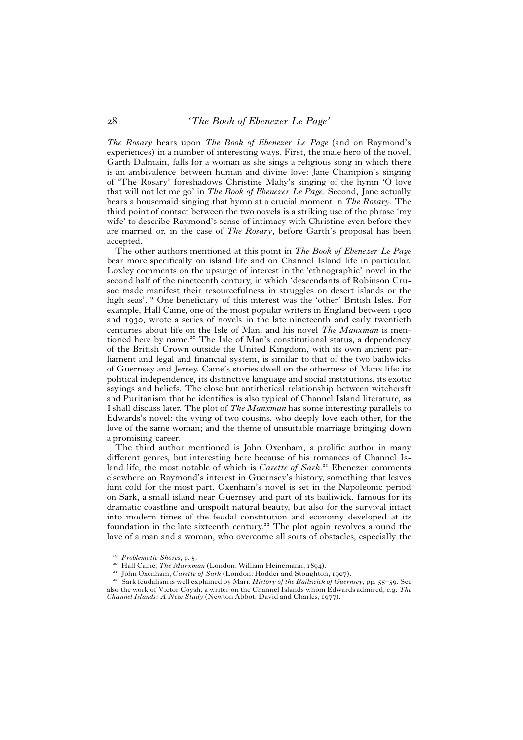*The Rosary* bears upon *The Book of Ebenezer Le Page* (and on Raymond's experiences) in a number of interesting ways. First, the male hero of the novel, Garth Dalmain, falls for a woman as she sings a religious song in which there is an ambivalence between human and divine love: Jane Champion's singing of 'The Rosary' foreshadows Christine Mahy's singing of the hymn 'O love that will not let me go' in *The Book of Ebenezer Le Page*. Second, Jane actually hears a housemaid singing that hymn at a crucial moment in *The Rosary*. The third point of contact between the two novels is a striking use of the phrase 'my wife' to describe Raymond's sense of intimacy with Christine even before they are married or, in the case of *The Rosary*, before Garth's proposal has been accepted.

The other authors mentioned at this point in *The Book of Ebenezer Le Page* bear more specifically on island life and on Channel Island life in particular. Loxley comments on the upsurge of interest in the 'ethnographic' novel in the second half of the nineteenth century, in which 'descendants of Robinson Crusoe made manifest their resourcefulness in struggles on desert islands or the high seas'.<sup>19</sup> One beneficiary of this interest was the 'other' British Isles. For example, Hall Caine, one of the most popular writers in England between 1900 and 1930, wrote a series of novels in the late nineteenth and early twentieth centuries about life on the Isle of Man, and his novel *The Manxman* is mentioned here by name.<sup>20</sup> The Isle of Man's constitutional status, a dependency of the British Crown outside the United Kingdom, with its own ancient parliament and legal and financial system, is similar to that of the two bailiwicks of Guernsey and Jersey. Caine's stories dwell on the otherness of Manx life: its political independence, its distinctive language and social institutions, its exotic sayings and beliefs. The close but antithetical relationship between witchcraft and Puritanism that he identifies is also typical of Channel Island literature, as I shall discuss later. The plot of *The Manxman* has some interesting parallels to Edwards's novel: the vying of two cousins, who deeply love each other, for the love of the same woman; and the theme of unsuitable marriage bringing down a promising career.

The third author mentioned is John Oxenham, a prolific author in many different genres, but interesting here because of his romances of Channel Island life, the most notable of which is *Carette of Sark*.<sup>21</sup> Ebenezer comments elsewhere on Raymond's interest in Guernsey's history, something that leaves him cold for the most part. Oxenham's novel is set in the Napoleonic period on Sark, a small island near Guernsey and part of its bailiwick, famous for its dramatic coastline and unspoilt natural beauty, but also for the survival intact into modern times of the feudal constitution and economy developed at its foundation in the late sixteenth century.<sup>22</sup> The plot again revolves around the love of a man and a woman, who overcome all sorts of obstacles, especially the

- Hall Caine, *The Manxman* (London: William Heinemann, 1894).

 *Problematic Shores*, p. 5.

<sup>-</sup>John Oxenham, *Carette of Sark* (London: Hodder and Stoughton, 1907).

<sup>-</sup>- Sark feudalism is well explained by Marr, *History of the Bailiwick of Guernsey*, pp. 55–59. See also the work of Victor Coysh, a writer on the Channel Islands whom Edwards admired, e.g. *The Channel Islands: A New Study* (Newton Abbot: David and Charles, 1977).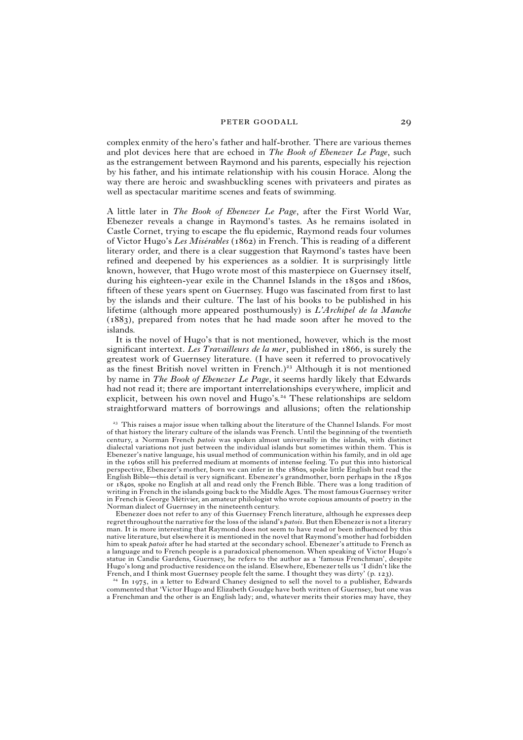complex enmity of the hero's father and half-brother. There are various themes and plot devices here that are echoed in *The Book of Ebenezer Le Page*, such as the estrangement between Raymond and his parents, especially his rejection by his father, and his intimate relationship with his cousin Horace. Along the way there are heroic and swashbuckling scenes with privateers and pirates as well as spectacular maritime scenes and feats of swimming.

A little later in *The Book of Ebenezer Le Page*, after the First World War, Ebenezer reveals a change in Raymond's tastes. As he remains isolated in Castle Cornet, trying to escape the flu epidemic, Raymond reads four volumes of Victor Hugo's *Les Misérables* (1862) in French. This is reading of a different literary order, and there is a clear suggestion that Raymond's tastes have been refined and deepened by his experiences as a soldier. It is surprisingly little known, however, that Hugo wrote most of this masterpiece on Guernsey itself, during his eighteen-year exile in the Channel Islands in the 1850s and 1860s, fifteen of these years spent on Guernsey. Hugo was fascinated from first to last by the islands and their culture. The last of his books to be published in his lifetime (although more appeared posthumously) is *L'Archipel de la Manche* (1883), prepared from notes that he had made soon after he moved to the islands.

It is the novel of Hugo's that is not mentioned, however, which is the most significant intertext. *Les Travailleurs de la mer*, published in 1866, is surely the greatest work of Guernsey literature. (I have seen it referred to provocatively as the finest British novel written in French.)<sup>23</sup> Although it is not mentioned by name in *The Book of Ebenezer Le Page*, it seems hardly likely that Edwards had not read it; there are important interrelationships everywhere, implicit and explicit, between his own novel and Hugo's.<sup>24</sup> These relationships are seldom straightforward matters of borrowings and allusions; often the relationship

Ebenezer does not refer to any of this Guernsey French literature, although he expresses deep regret throughout the narrative for the loss of the island's *patois*. But then Ebenezer is not a literary man. It is more interesting that Raymond does not seem to have read or been influenced by this native literature, but elsewhere it is mentioned in the novel that Raymond's mother had forbidden him to speak *patois* after he had started at the secondary school. Ebenezer's attitude to French as a language and to French people is a paradoxical phenomenon. When speaking of Victor Hugo's statue in Candie Gardens, Guernsey, he refers to the author as a 'famous Frenchman', despite Hugo's long and productive residence on the island. Elsewhere, Ebenezer tells us 'I didn't like the French, and I think most Guernsey people felt the same. I thought they was dirty' (p. 123).

<sup>24</sup> In 1975, in a letter to Edward Chaney designed to sell the novel to a publisher, Edwards commented that 'Victor Hugo and Elizabeth Goudge have both written of Guernsey, but one was a Frenchman and the other is an English lady; and, whatever merits their stories may have, they

<sup>&</sup>lt;sup>23</sup> This raises a major issue when talking about the literature of the Channel Islands. For most of that history the literary culture of the islands was French. Until the beginning of the twentieth century, a Norman French *patois* was spoken almost universally in the islands, with distinct dialectal variations not just between the individual islands but sometimes within them. This is Ebenezer's native language, his usual method of communication within his family, and in old age in the 1960s still his preferred medium at moments of intense feeling. To put this into historical perspective, Ebenezer's mother, born we can infer in the 1860s, spoke little English but read the English Bible—this detail is very significant. Ebenezer's grandmother, born perhaps in the 1830s or 1840s, spoke no English at all and read only the French Bible. There was a long tradition of writing in French in the islands going back to the Middle Ages. The most famous Guernsey writer in French is George Métivier, an amateur philologist who wrote copious amounts of poetry in the Norman dialect of Guernsey in the nineteenth century.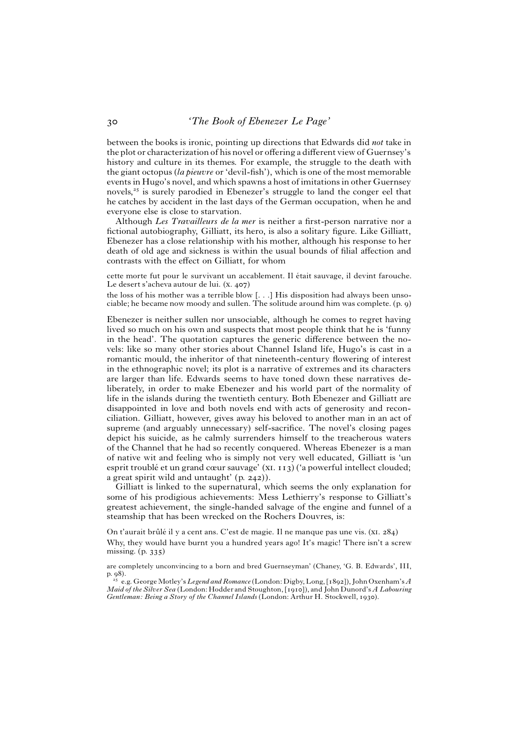between the books is ironic, pointing up directions that Edwards did *not* take in the plot or characterization of his novel or offering a different view of Guernsey's history and culture in its themes. For example, the struggle to the death with the giant octopus *(la pieuvre* or 'devil-fish'), which is one of the most memorable events in Hugo's novel, and which spawns a host of imitations in other Guernsey novels,<sup>25</sup> is surely parodied in Ebenezer's struggle to land the conger eel that he catches by accident in the last days of the German occupation, when he and everyone else is close to starvation.

Although *Les Travailleurs de la mer* is neither a first-person narrative nor a fictional autobiography, Gilliatt, its hero, is also a solitary figure. Like Gilliatt, Ebenezer has a close relationship with his mother, although his response to her death of old age and sickness is within the usual bounds of filial affection and contrasts with the effect on Gilliatt, for whom

cette morte fut pour le survivant un accablement. Il était sauvage, il devint farouche. Le desert s'acheva autour de lui. (x. 407)

the loss of his mother was a terrible blow [. . .] His disposition had always been unsociable; he became now moody and sullen. The solitude around him was complete. (p. 9)

Ebenezer is neither sullen nor unsociable, although he comes to regret having lived so much on his own and suspects that most people think that he is 'funny in the head'. The quotation captures the generic difference between the novels: like so many other stories about Channel Island life, Hugo's is cast in a romantic mould, the inheritor of that nineteenth-century flowering of interest in the ethnographic novel; its plot is a narrative of extremes and its characters are larger than life. Edwards seems to have toned down these narratives deliberately, in order to make Ebenezer and his world part of the normality of life in the islands during the twentieth century. Both Ebenezer and Gilliatt are disappointed in love and both novels end with acts of generosity and reconciliation. Gilliatt, however, gives away his beloved to another man in an act of supreme (and arguably unnecessary) self-sacrifice. The novel's closing pages depict his suicide, as he calmly surrenders himself to the treacherous waters of the Channel that he had so recently conquered. Whereas Ebenezer is a man of native wit and feeling who is simply not very well educated, Gilliatt is 'un esprit troublé et un grand cœur sauvage' (XI. 113) ('a powerful intellect clouded; a great spirit wild and untaught' (p. 242)).

Gilliatt is linked to the supernatural, which seems the only explanation for some of his prodigious achievements: Mess Lethierry's response to Gilliatt's greatest achievement, the single-handed salvage of the engine and funnel of a steamship that has been wrecked on the Rochers Douvres, is:

On t'aurait brûlé il y a cent ans. C'est de magie. Il ne manque pas une vis. (XI. 284) Why, they would have burnt you a hundred years ago! It's magic! There isn't a screw missing. (p. 335)

are completely unconvincing to a born and bred Guernseyman' (Chaney, 'G. B. Edwards', III, p. 98).

- e.g. GeorgeMotley's *Legend and Romance* (London: Digby, Long, [1892]), John Oxenham's *A Maid of the Silver Sea* (London: Hodder and Stoughton, [1910]), and John Dunord's *A Labouring Gentleman: Being a Story of the Channel Islands* (London: Arthur H. Stockwell, 1930).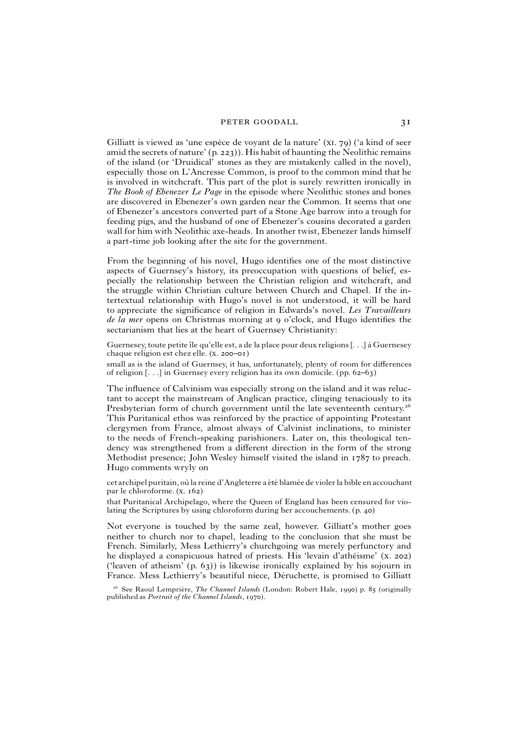Gilliatt is viewed as 'une espèce de voyant de la nature'  $(XI, 79)$  ('a kind of seer amid the secrets of nature' (p. 223)). His habit of haunting the Neolithic remains of the island (or 'Druidical' stones as they are mistakenly called in the novel), especially those on L'Ancresse Common, is proof to the common mind that he is involved in witchcraft. This part of the plot is surely rewritten ironically in *The Book of Ebenezer Le Page* in the episode where Neolithic stones and bones are discovered in Ebenezer's own garden near the Common. It seems that one of Ebenezer's ancestors converted part of a Stone Age barrow into a trough for feeding pigs, and the husband of one of Ebenezer's cousins decorated a garden wall for him with Neolithic axe-heads. In another twist, Ebenezer lands himself a part-time job looking after the site for the government.

From the beginning of his novel, Hugo identifies one of the most distinctive aspects of Guernsey's history, its preoccupation with questions of belief, especially the relationship between the Christian religion and witchcraft, and the struggle within Christian culture between Church and Chapel. If the intertextual relationship with Hugo's novel is not understood, it will be hard to appreciate the significance of religion in Edwards's novel. *Les Travailleurs de la mer* opens on Christmas morning at 9 o'clock, and Hugo identifies the sectarianism that lies at the heart of Guernsey Christianity:

Guernesey, toute petite île qu'elle est, a de la place pour deux religions  $[...]$  à Guernesey chaque religion est chez elle. (x. 200–01)

small as is the island of Guernsey, it has, unfortunately, plenty of room for differences of religion [. . .] in Guernsey every religion has its own domicile. (pp. 62–63)

The influence of Calvinism was especially strong on the island and it was reluctant to accept the mainstream of Anglican practice, clinging tenaciously to its Presbyterian form of church government until the late seventeenth century.<sup>26</sup> This Puritanical ethos was reinforced by the practice of appointing Protestant clergymen from France, almost always of Calvinist inclinations, to minister to the needs of French-speaking parishioners. Later on, this theological tendency was strengthened from a different direction in the form of the strong Methodist presence; John Wesley himself visited the island in 1787 to preach. Hugo comments wryly on

cet archipel puritain, où la reine d'Angleterre a été blamée de violer la bible en accouchant par le chloroforme. (x. 162)

that Puritanical Archipelago, where the Queen of England has been censured for violating the Scriptures by using chloroform during her accouchements. (p. 40)

Not everyone is touched by the same zeal, however. Gilliatt's mother goes neither to church nor to chapel, leading to the conclusion that she must be French. Similarly, Mess Lethierry's churchgoing was merely perfunctory and he displayed a conspicuous hatred of priests. His 'levain d'athéisme' (x. 202) ('leaven of atheism' (p. 63)) is likewise ironically explained by his sojourn in France. Mess Lethierry's beautiful niece, Déruchette, is promised to Gilliatt

<sup>&</sup>lt;sup>26</sup> See Raoul Lemprière, *The Channel Islands* (London: Robert Hale, 1990) p. 85 (originally published as *Portrait of the Channel Islands*, 1970).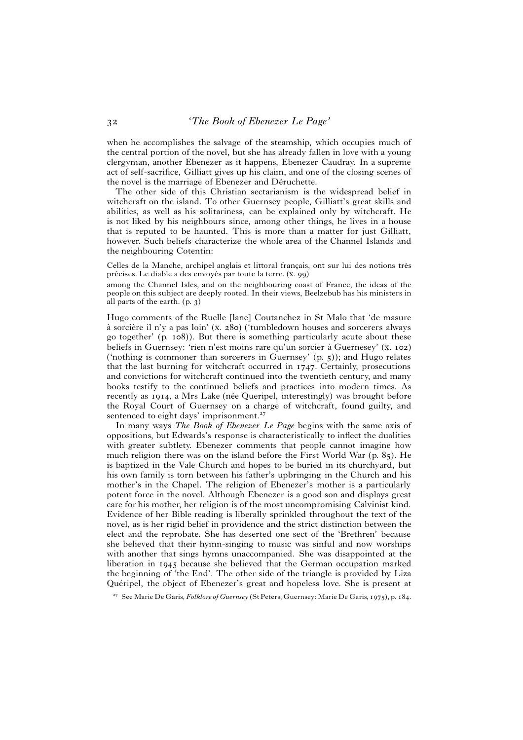when he accomplishes the salvage of the steamship, which occupies much of the central portion of the novel, but she has already fallen in love with a young clergyman, another Ebenezer as it happens, Ebenezer Caudray. In a supreme act of self-sacrifice, Gilliatt gives up his claim, and one of the closing scenes of the novel is the marriage of Ebenezer and Déruchette.

The other side of this Christian sectarianism is the widespread belief in witchcraft on the island. To other Guernsey people, Gilliatt's great skills and abilities, as well as his solitariness, can be explained only by witchcraft. He is not liked by his neighbours since, among other things, he lives in a house that is reputed to be haunted. This is more than a matter for just Gilliatt, however. Such beliefs characterize the whole area of the Channel Islands and the neighbouring Cotentin:

Celles de la Manche, archipel anglais et littoral francais, ont sur lui des notions très précises. Le diable a des envoyés par toute la terre. (x. 99)

among the Channel Isles, and on the neighbouring coast of France, the ideas of the people on this subject are deeply rooted. In their views, Beelzebub has his ministers in all parts of the earth. (p. 3)

Hugo comments of the Ruelle [lane] Coutanchez in St Malo that 'de masure à sorcière il n'y a pas loin'  $(x, 280)$  ('tumbledown houses and sorcerers always go together' (p. 108)). But there is something particularly acute about these beliefs in Guernsey: 'rien n'est moins rare qu'un sorcier à Guernesey' (x. 102) ('nothing is commoner than sorcerers in Guernsey'  $(p, 5)$ ); and Hugo relates that the last burning for witchcraft occurred in 1747. Certainly, prosecutions and convictions for witchcraft continued into the twentieth century, and many books testify to the continued beliefs and practices into modern times. As recently as 1914, a Mrs Lake (née Queripel, interestingly) was brought before the Royal Court of Guernsey on a charge of witchcraft, found guilty, and sentenced to eight days' imprisonment.<sup>27</sup>

In many ways *The Book of Ebenezer Le Page* begins with the same axis of oppositions, but Edwards's response is characteristically to inflect the dualities with greater subtlety. Ebenezer comments that people cannot imagine how much religion there was on the island before the First World War (p. 85). He is baptized in the Vale Church and hopes to be buried in its churchyard, but his own family is torn between his father's upbringing in the Church and his mother's in the Chapel. The religion of Ebenezer's mother is a particularly potent force in the novel. Although Ebenezer is a good son and displays great care for his mother, her religion is of the most uncompromising Calvinist kind. Evidence of her Bible reading is liberally sprinkled throughout the text of the novel, as is her rigid belief in providence and the strict distinction between the elect and the reprobate. She has deserted one sect of the 'Brethren' because she believed that their hymn-singing to music was sinful and now worships with another that sings hymns unaccompanied. She was disappointed at the liberation in 1945 because she believed that the German occupation marked the beginning of 'the End'. The other side of the triangle is provided by Liza Quéripel, the object of Ebenezer's great and hopeless love. She is present at

- See Marie De Garis, *Folklore of Guernsey* (St Peters, Guernsey:Marie De Garis, 1975), p. 184.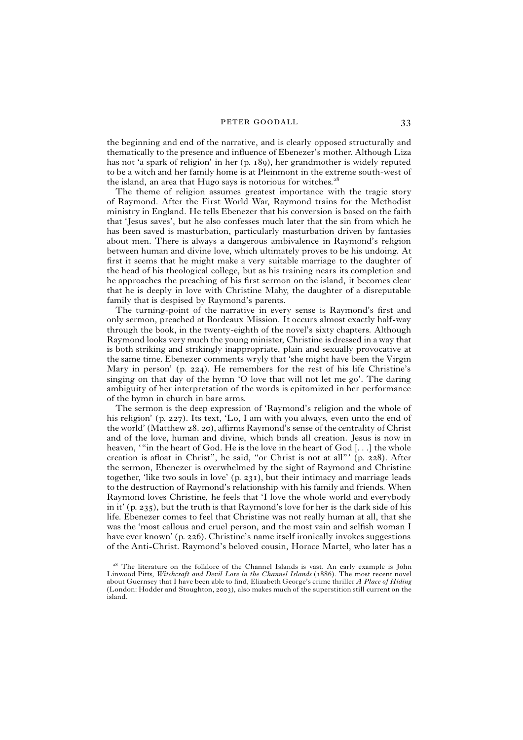the beginning and end of the narrative, and is clearly opposed structurally and thematically to the presence and influence of Ebenezer's mother. Although Liza has not 'a spark of religion' in her (p. 189), her grandmother is widely reputed to be a witch and her family home is at Pleinmont in the extreme south-west of the island, an area that Hugo says is notorious for witches.<sup>28</sup>

The theme of religion assumes greatest importance with the tragic story of Raymond. After the First World War, Raymond trains for the Methodist ministry in England. He tells Ebenezer that his conversion is based on the faith that 'Jesus saves', but he also confesses much later that the sin from which he has been saved is masturbation, particularly masturbation driven by fantasies about men. There is always a dangerous ambivalence in Raymond's religion between human and divine love, which ultimately proves to be his undoing. At first it seems that he might make a very suitable marriage to the daughter of the head of his theological college, but as his training nears its completion and he approaches the preaching of his first sermon on the island, it becomes clear that he is deeply in love with Christine Mahy, the daughter of a disreputable family that is despised by Raymond's parents.

The turning-point of the narrative in every sense is Raymond's first and only sermon, preached at Bordeaux Mission. It occurs almost exactly half-way through the book, in the twenty-eighth of the novel's sixty chapters. Although Raymond looks very much the young minister, Christine is dressed in a way that is both striking and strikingly inappropriate, plain and sexually provocative at the same time. Ebenezer comments wryly that 'she might have been the Virgin Mary in person' (p. 224). He remembers for the rest of his life Christine's singing on that day of the hymn 'O love that will not let me go'. The daring ambiguity of her interpretation of the words is epitomized in her performance of the hymn in church in bare arms.

The sermon is the deep expression of 'Raymond's religion and the whole of his religion' (p. 227). Its text, 'Lo, I am with you always, even unto the end of the world' (Matthew 28. 20), affirms Raymond's sense of the centrality of Christ and of the love, human and divine, which binds all creation. Jesus is now in heaven, '"in the heart of God. He is the love in the heart of God [. . .] the whole creation is afloat in Christ", he said, "or Christ is not at all"' (p. 228). After the sermon, Ebenezer is overwhelmed by the sight of Raymond and Christine together, 'like two souls in love' (p. 231), but their intimacy and marriage leads to the destruction of Raymond's relationship with his family and friends. When Raymond loves Christine, he feels that 'I love the whole world and everybody in it' (p. 235), but the truth is that Raymond's love for her is the dark side of his life. Ebenezer comes to feel that Christine was not really human at all, that she was the 'most callous and cruel person, and the most vain and selfish woman I have ever known' (p. 226). Christine's name itself ironically invokes suggestions of the Anti-Christ. Raymond's beloved cousin, Horace Martel, who later has a

<sup>&</sup>lt;sup>28</sup> The literature on the folklore of the Channel Islands is vast. An early example is John Linwood Pitts, *Witchcraft and Devil Lore in the Channel Islands* (1886). The most recent novel about Guernsey that I have been able to find, Elizabeth George's crime thriller *A Place of Hiding* (London: Hodder and Stoughton, 2003), also makes much of the superstition still current on the island.